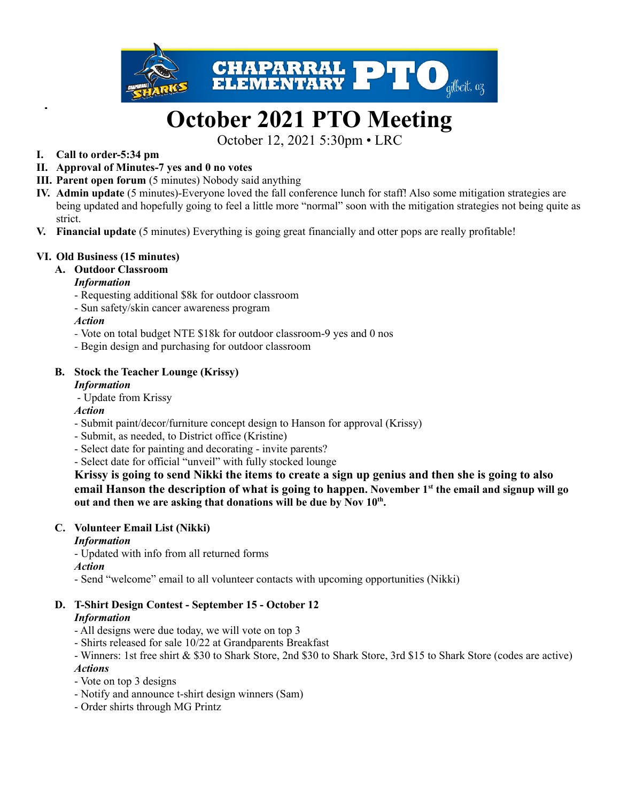

# **October 2021 PTO Meeting**

October 12, 2021 5:30pm • LRC

- **I. Call to order-5:34 pm**
- **II. Approval of Minutes-7 yes and 0 no votes**
- **III. Parent open forum** (5 minutes) Nobody said anything
- **IV. Admin update** (5 minutes)-Everyone loved the fall conference lunch for staff! Also some mitigation strategies are being updated and hopefully going to feel a little more "normal" soon with the mitigation strategies not being quite as strict.
- **V. Financial update** (5 minutes) Everything is going great financially and otter pops are really profitable!

## **VI. Old Business (15 minutes)**

## **A. Outdoor Classroom**

## *Information*

- Requesting additional \$8k for outdoor classroom
- Sun safety/skin cancer awareness program

## *Action*

- *-* Vote on total budget NTE \$18k for outdoor classroom-9 yes and 0 nos
- *-* Begin design and purchasing for outdoor classroom

## **B. Stock the Teacher Lounge (Krissy)**

#### *Information*

- Update from Krissy

## *Action*

- Submit paint/decor/furniture concept design to Hanson for approval (Krissy)
- Submit, as needed, to District office (Kristine)
- Select date for painting and decorating invite parents?
- Select date for official "unveil" with fully stocked lounge

**Krissy is going to send Nikki the items to create a sign up genius and then she is going to also email Hanson the description of what is going to happen. November 1 st the email and signup will go out and then we are asking that donations will be due by Nov 10 th .**

#### **C. Volunteer Email List (Nikki)**

## *Information*

- Updated with info from all returned forms

#### *Action*

- Send "welcome" email to all volunteer contacts with upcoming opportunities (Nikki)

#### **D. T-Shirt Design Contest - September 15 - October 12** *Information*

- All designs were due today, we will vote on top 3
- Shirts released for sale 10/22 at Grandparents Breakfast
- Winners: 1st free shirt & \$30 to Shark Store, 2nd \$30 to Shark Store, 3rd \$15 to Shark Store (codes are active) *Actions*
- Vote on top 3 designs
- Notify and announce t-shirt design winners (Sam)
- Order shirts through MG Printz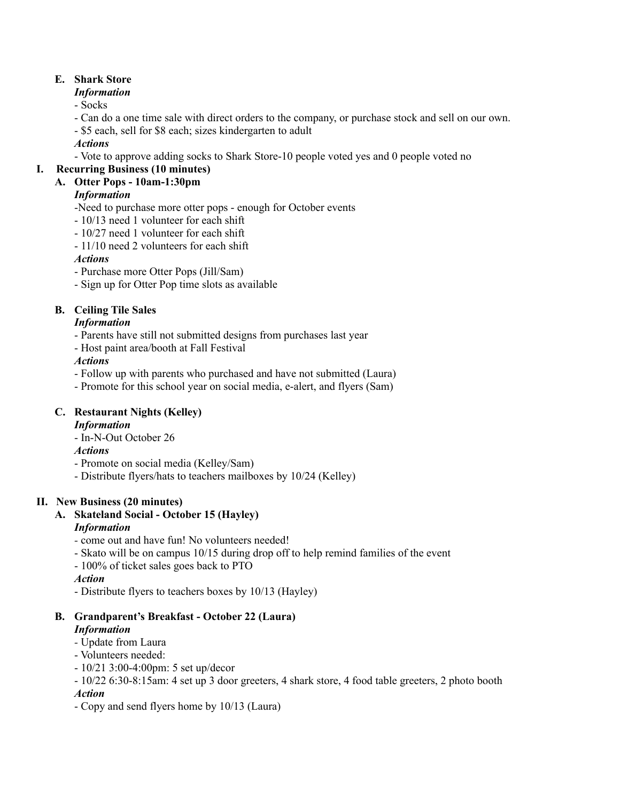## **E. Shark Store**

## *Information*

- Socks

- Can do a one time sale with direct orders to the company, or purchase stock and sell on our own.
- \$5 each, sell for \$8 each; sizes kindergarten to adult

## *Actions*

- Vote to approve adding socks to Shark Store-10 people voted yes and 0 people voted no

## **I. Recurring Business (10 minutes)**

## **A. Otter Pops - 10am-1:30pm**

## *Information*

-Need to purchase more otter pops - enough for October events

- 10/13 need 1 volunteer for each shift
- 10/27 need 1 volunteer for each shift
- 11/10 need 2 volunteers for each shift

## *Actions*

- Purchase more Otter Pops (Jill/Sam)
- Sign up for Otter Pop time slots as available

## **B. Ceiling Tile Sales**

## *Information*

- Parents have still not submitted designs from purchases last year
- Host paint area/booth at Fall Festival

## *Actions*

- Follow up with parents who purchased and have not submitted (Laura)
- Promote for this school year on social media, e-alert, and flyers (Sam)

## **C. Restaurant Nights (Kelley)**

## *Information*

- In-N-Out October 26

## *Actions*

- Promote on social media (Kelley/Sam)
- Distribute flyers/hats to teachers mailboxes by 10/24 (Kelley)

## **II. New Business (20 minutes)**

## **A. Skateland Social - October 15 (Hayley)**

## *Information*

- *-* come out and have fun! No volunteers needed!
- Skato will be on campus 10/15 during drop off to help remind families of the event
- 100% of ticket sales goes back to PTO

## *Action*

- Distribute flyers to teachers boxes by 10/13 (Hayley)

## **B. Grandparent's Breakfast - October 22 (Laura)**

## *Information*

- *-* Update from Laura
- Volunteers needed:
- 10/21 3:00-4:00pm: 5 set up/decor
- 10/22 6:30-8:15am: 4 set up 3 door greeters, 4 shark store, 4 food table greeters, 2 photo booth *Action*
- Copy and send flyers home by 10/13 (Laura)